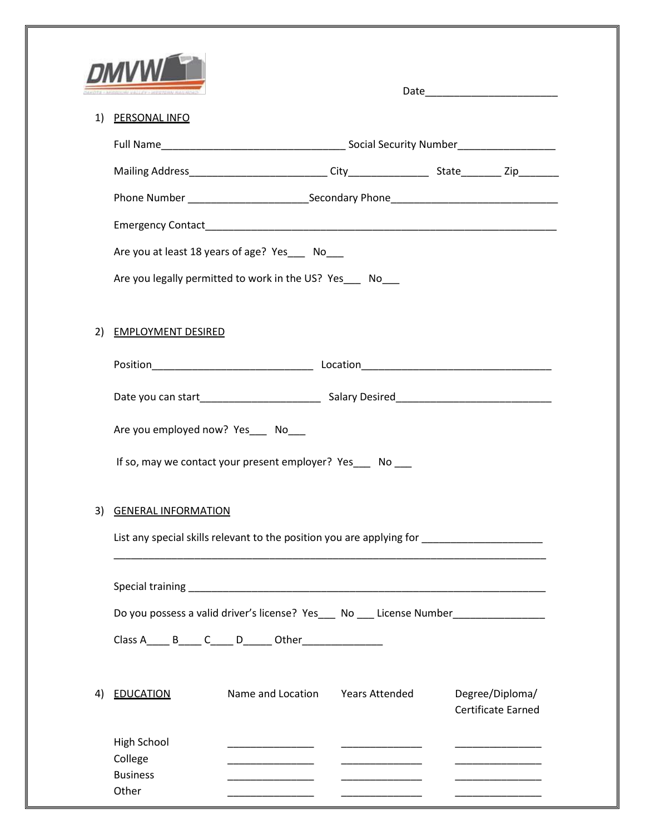|    | <b>DMVL</b>                                                                                                                                    |                                                              |                       |                                       |  |  |  |
|----|------------------------------------------------------------------------------------------------------------------------------------------------|--------------------------------------------------------------|-----------------------|---------------------------------------|--|--|--|
| 1) | <b>PERSONAL INFO</b>                                                                                                                           |                                                              |                       |                                       |  |  |  |
|    |                                                                                                                                                |                                                              |                       |                                       |  |  |  |
|    |                                                                                                                                                |                                                              |                       |                                       |  |  |  |
|    |                                                                                                                                                |                                                              |                       |                                       |  |  |  |
|    |                                                                                                                                                |                                                              |                       |                                       |  |  |  |
|    | Are you at least 18 years of age? Yes___ No___                                                                                                 |                                                              |                       |                                       |  |  |  |
|    |                                                                                                                                                | Are you legally permitted to work in the US? Yes __ No       |                       |                                       |  |  |  |
|    |                                                                                                                                                |                                                              |                       |                                       |  |  |  |
| 2) | <b>EMPLOYMENT DESIRED</b>                                                                                                                      |                                                              |                       |                                       |  |  |  |
|    |                                                                                                                                                |                                                              |                       |                                       |  |  |  |
|    |                                                                                                                                                |                                                              |                       |                                       |  |  |  |
|    |                                                                                                                                                |                                                              |                       |                                       |  |  |  |
|    | Are you employed now? Yes___ No___                                                                                                             |                                                              |                       |                                       |  |  |  |
|    |                                                                                                                                                | If so, may we contact your present employer? Yes ____ No ___ |                       |                                       |  |  |  |
|    |                                                                                                                                                |                                                              |                       |                                       |  |  |  |
| 3) | <b>GENERAL INFORMATION</b>                                                                                                                     |                                                              |                       |                                       |  |  |  |
|    | List any special skills relevant to the position you are applying for                                                                          |                                                              |                       |                                       |  |  |  |
|    |                                                                                                                                                |                                                              |                       |                                       |  |  |  |
|    |                                                                                                                                                |                                                              |                       |                                       |  |  |  |
|    | Do you possess a valid driver's license? Yes___ No __ License Number____________<br>Class A______ B_____ C_____ D_______ Other________________ |                                                              |                       |                                       |  |  |  |
|    |                                                                                                                                                |                                                              |                       |                                       |  |  |  |
|    |                                                                                                                                                |                                                              |                       |                                       |  |  |  |
| 4) | <b>EDUCATION</b>                                                                                                                               | Name and Location                                            | <b>Years Attended</b> | Degree/Diploma/<br>Certificate Earned |  |  |  |
|    | High School                                                                                                                                    |                                                              |                       |                                       |  |  |  |
|    | College                                                                                                                                        |                                                              |                       |                                       |  |  |  |
|    | <b>Business</b><br>Other                                                                                                                       |                                                              |                       |                                       |  |  |  |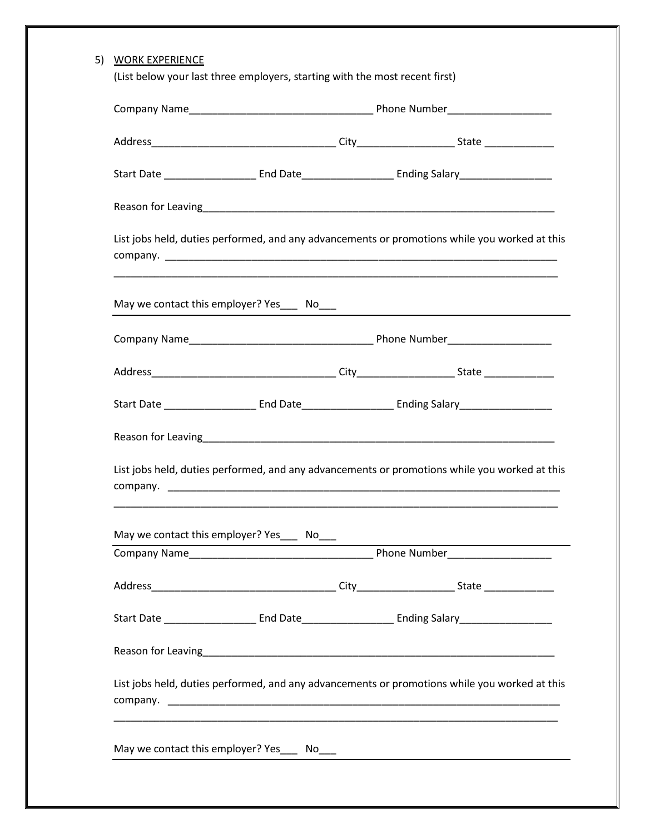| List jobs held, duties performed, and any advancements or promotions while you worked at this |  |  |                                                                                               |  |  |  |
|-----------------------------------------------------------------------------------------------|--|--|-----------------------------------------------------------------------------------------------|--|--|--|
|                                                                                               |  |  |                                                                                               |  |  |  |
|                                                                                               |  |  |                                                                                               |  |  |  |
|                                                                                               |  |  |                                                                                               |  |  |  |
|                                                                                               |  |  |                                                                                               |  |  |  |
|                                                                                               |  |  |                                                                                               |  |  |  |
| List jobs held, duties performed, and any advancements or promotions while you worked at this |  |  |                                                                                               |  |  |  |
| May we contact this employer? Yes_____ No___                                                  |  |  |                                                                                               |  |  |  |
|                                                                                               |  |  |                                                                                               |  |  |  |
|                                                                                               |  |  |                                                                                               |  |  |  |
|                                                                                               |  |  |                                                                                               |  |  |  |
|                                                                                               |  |  |                                                                                               |  |  |  |
|                                                                                               |  |  | List jobs held, duties performed, and any advancements or promotions while you worked at this |  |  |  |